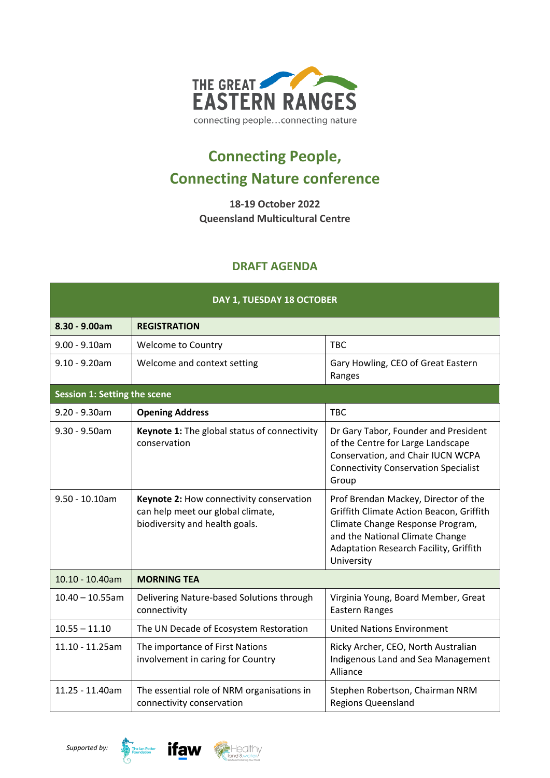

## **Connecting People, Connecting Nature conference**

**18-19 October 2022 Queensland Multicultural Centre**

## **DRAFT AGENDA**

| DAY 1, TUESDAY 18 OCTOBER    |                                                                                                                 |                                                                                                                                                                                                                 |  |  |
|------------------------------|-----------------------------------------------------------------------------------------------------------------|-----------------------------------------------------------------------------------------------------------------------------------------------------------------------------------------------------------------|--|--|
| 8.30 - 9.00am                | <b>REGISTRATION</b>                                                                                             |                                                                                                                                                                                                                 |  |  |
| $9.00 - 9.10$ am             | <b>Welcome to Country</b>                                                                                       | <b>TBC</b>                                                                                                                                                                                                      |  |  |
| $9.10 - 9.20$ am             | Welcome and context setting                                                                                     | Gary Howling, CEO of Great Eastern<br>Ranges                                                                                                                                                                    |  |  |
| Session 1: Setting the scene |                                                                                                                 |                                                                                                                                                                                                                 |  |  |
| $9.20 - 9.30$ am             | <b>Opening Address</b>                                                                                          | <b>TBC</b>                                                                                                                                                                                                      |  |  |
| $9.30 - 9.50$ am             | Keynote 1: The global status of connectivity<br>conservation                                                    | Dr Gary Tabor, Founder and President<br>of the Centre for Large Landscape<br>Conservation, and Chair IUCN WCPA<br><b>Connectivity Conservation Specialist</b><br>Group                                          |  |  |
| $9.50 - 10.10$ am            | Keynote 2: How connectivity conservation<br>can help meet our global climate,<br>biodiversity and health goals. | Prof Brendan Mackey, Director of the<br>Griffith Climate Action Beacon, Griffith<br>Climate Change Response Program,<br>and the National Climate Change<br>Adaptation Research Facility, Griffith<br>University |  |  |
| 10.10 - 10.40am              | <b>MORNING TEA</b>                                                                                              |                                                                                                                                                                                                                 |  |  |
| $10.40 - 10.55$ am           | Delivering Nature-based Solutions through<br>connectivity                                                       | Virginia Young, Board Member, Great<br><b>Eastern Ranges</b>                                                                                                                                                    |  |  |
| $10.55 - 11.10$              | The UN Decade of Ecosystem Restoration                                                                          | <b>United Nations Environment</b>                                                                                                                                                                               |  |  |
| 11.10 - 11.25am              | The importance of First Nations<br>involvement in caring for Country                                            | Ricky Archer, CEO, North Australian<br>Indigenous Land and Sea Management<br>Alliance                                                                                                                           |  |  |
| 11.25 - 11.40am              | The essential role of NRM organisations in<br>connectivity conservation                                         | Stephen Robertson, Chairman NRM<br><b>Regions Queensland</b>                                                                                                                                                    |  |  |



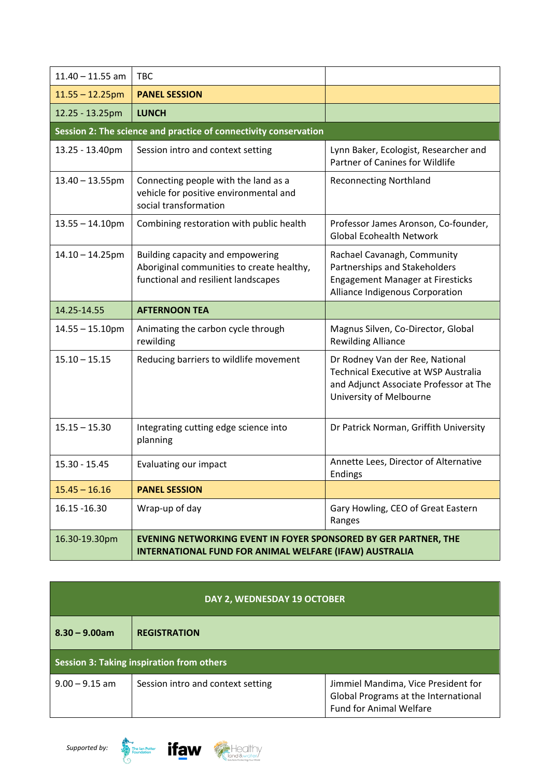| $11.40 - 11.55$ am                                               | <b>TBC</b>                                                                                                                       |                                                                                                                                                     |  |  |
|------------------------------------------------------------------|----------------------------------------------------------------------------------------------------------------------------------|-----------------------------------------------------------------------------------------------------------------------------------------------------|--|--|
| $11.55 - 12.25$ pm                                               | <b>PANEL SESSION</b>                                                                                                             |                                                                                                                                                     |  |  |
| 12.25 - 13.25pm                                                  | <b>LUNCH</b>                                                                                                                     |                                                                                                                                                     |  |  |
| Session 2: The science and practice of connectivity conservation |                                                                                                                                  |                                                                                                                                                     |  |  |
| 13.25 - 13.40pm                                                  | Session intro and context setting                                                                                                | Lynn Baker, Ecologist, Researcher and<br>Partner of Canines for Wildlife                                                                            |  |  |
| $13.40 - 13.55$ pm                                               | Connecting people with the land as a<br>vehicle for positive environmental and<br>social transformation                          | <b>Reconnecting Northland</b>                                                                                                                       |  |  |
| $13.55 - 14.10$ pm                                               | Combining restoration with public health                                                                                         | Professor James Aronson, Co-founder,<br><b>Global Ecohealth Network</b>                                                                             |  |  |
| $14.10 - 14.25$ pm                                               | Building capacity and empowering<br>Aboriginal communities to create healthy,<br>functional and resilient landscapes             | Rachael Cavanagh, Community<br>Partnerships and Stakeholders<br><b>Engagement Manager at Firesticks</b><br>Alliance Indigenous Corporation          |  |  |
| 14.25-14.55                                                      | <b>AFTERNOON TEA</b>                                                                                                             |                                                                                                                                                     |  |  |
| $14.55 - 15.10$ pm                                               | Animating the carbon cycle through<br>rewilding                                                                                  | Magnus Silven, Co-Director, Global<br><b>Rewilding Alliance</b>                                                                                     |  |  |
| $15.10 - 15.15$                                                  | Reducing barriers to wildlife movement                                                                                           | Dr Rodney Van der Ree, National<br><b>Technical Executive at WSP Australia</b><br>and Adjunct Associate Professor at The<br>University of Melbourne |  |  |
| $15.15 - 15.30$                                                  | Integrating cutting edge science into<br>planning                                                                                | Dr Patrick Norman, Griffith University                                                                                                              |  |  |
| $15.30 - 15.45$                                                  | Evaluating our impact                                                                                                            | Annette Lees, Director of Alternative<br><b>Endings</b>                                                                                             |  |  |
| $15.45 - 16.16$                                                  | <b>PANEL SESSION</b>                                                                                                             |                                                                                                                                                     |  |  |
| 16.15 - 16.30                                                    | Wrap-up of day                                                                                                                   | Gary Howling, CEO of Great Eastern<br>Ranges                                                                                                        |  |  |
| 16.30-19.30pm                                                    | <b>EVENING NETWORKING EVENT IN FOYER SPONSORED BY GER PARTNER, THE</b><br>INTERNATIONAL FUND FOR ANIMAL WELFARE (IFAW) AUSTRALIA |                                                                                                                                                     |  |  |

| DAY 2, WEDNESDAY 19 OCTOBER               |                                   |                                                                                                               |  |
|-------------------------------------------|-----------------------------------|---------------------------------------------------------------------------------------------------------------|--|
| $8.30 - 9.00$ am                          | <b>REGISTRATION</b>               |                                                                                                               |  |
| Session 3: Taking inspiration from others |                                   |                                                                                                               |  |
| $9.00 - 9.15$ am                          | Session intro and context setting | Jimmiel Mandima, Vice President for<br>Global Programs at the International<br><b>Fund for Animal Welfare</b> |  |



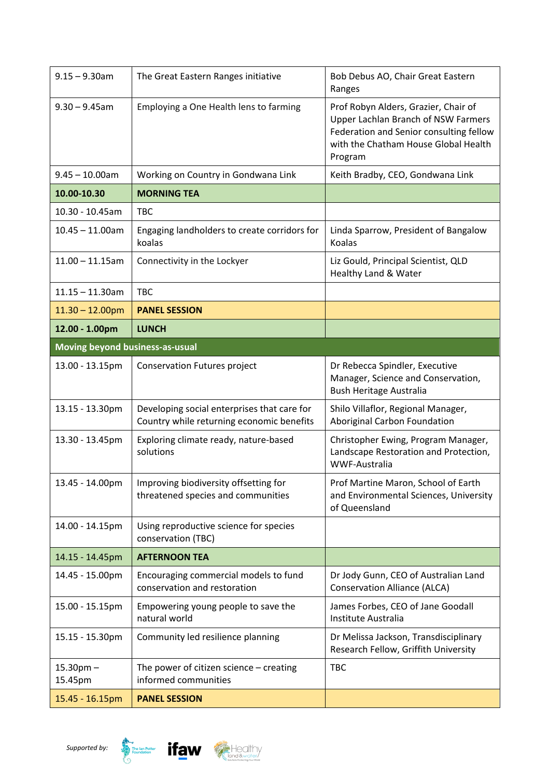| $9.15 - 9.30$ am                       | The Great Eastern Ranges initiative                                                      | Bob Debus AO, Chair Great Eastern<br>Ranges                                                                                                                                      |
|----------------------------------------|------------------------------------------------------------------------------------------|----------------------------------------------------------------------------------------------------------------------------------------------------------------------------------|
| $9.30 - 9.45$ am                       | Employing a One Health lens to farming                                                   | Prof Robyn Alders, Grazier, Chair of<br><b>Upper Lachlan Branch of NSW Farmers</b><br>Federation and Senior consulting fellow<br>with the Chatham House Global Health<br>Program |
| $9.45 - 10.00$ am                      | Working on Country in Gondwana Link                                                      | Keith Bradby, CEO, Gondwana Link                                                                                                                                                 |
| 10.00-10.30                            | <b>MORNING TEA</b>                                                                       |                                                                                                                                                                                  |
| 10.30 - 10.45am                        | <b>TBC</b>                                                                               |                                                                                                                                                                                  |
| $10.45 - 11.00$ am                     | Engaging landholders to create corridors for<br>koalas                                   | Linda Sparrow, President of Bangalow<br>Koalas                                                                                                                                   |
| $11.00 - 11.15$ am                     | Connectivity in the Lockyer                                                              | Liz Gould, Principal Scientist, QLD<br>Healthy Land & Water                                                                                                                      |
| $11.15 - 11.30$ am                     | <b>TBC</b>                                                                               |                                                                                                                                                                                  |
| $11.30 - 12.00$ pm                     | <b>PANEL SESSION</b>                                                                     |                                                                                                                                                                                  |
| 12.00 - 1.00pm                         | <b>LUNCH</b>                                                                             |                                                                                                                                                                                  |
| <b>Moving beyond business-as-usual</b> |                                                                                          |                                                                                                                                                                                  |
| 13.00 - 13.15pm                        | <b>Conservation Futures project</b>                                                      | Dr Rebecca Spindler, Executive<br>Manager, Science and Conservation,<br><b>Bush Heritage Australia</b>                                                                           |
| 13.15 - 13.30pm                        | Developing social enterprises that care for<br>Country while returning economic benefits | Shilo Villaflor, Regional Manager,<br>Aboriginal Carbon Foundation                                                                                                               |
| 13.30 - 13.45pm                        | Exploring climate ready, nature-based<br>solutions                                       | Christopher Ewing, Program Manager,<br>Landscape Restoration and Protection,<br>WWF-Australia                                                                                    |
| 13.45 - 14.00pm                        | Improving biodiversity offsetting for<br>threatened species and communities              | Prof Martine Maron, School of Earth<br>and Environmental Sciences, University<br>of Queensland                                                                                   |
| 14.00 - 14.15pm                        | Using reproductive science for species<br>conservation (TBC)                             |                                                                                                                                                                                  |
| 14.15 - 14.45pm                        | <b>AFTERNOON TEA</b>                                                                     |                                                                                                                                                                                  |
| 14.45 - 15.00pm                        | Encouraging commercial models to fund<br>conservation and restoration                    | Dr Jody Gunn, CEO of Australian Land<br><b>Conservation Alliance (ALCA)</b>                                                                                                      |
| 15.00 - 15.15pm                        | Empowering young people to save the<br>natural world                                     | James Forbes, CEO of Jane Goodall<br>Institute Australia                                                                                                                         |
| 15.15 - 15.30pm                        | Community led resilience planning                                                        | Dr Melissa Jackson, Transdisciplinary<br>Research Fellow, Griffith University                                                                                                    |
| $15.30$ pm $-$<br>15.45pm              | The power of citizen science $-$ creating<br>informed communities                        | <b>TBC</b>                                                                                                                                                                       |
| 15.45 - 16.15pm                        | <b>PANEL SESSION</b>                                                                     |                                                                                                                                                                                  |